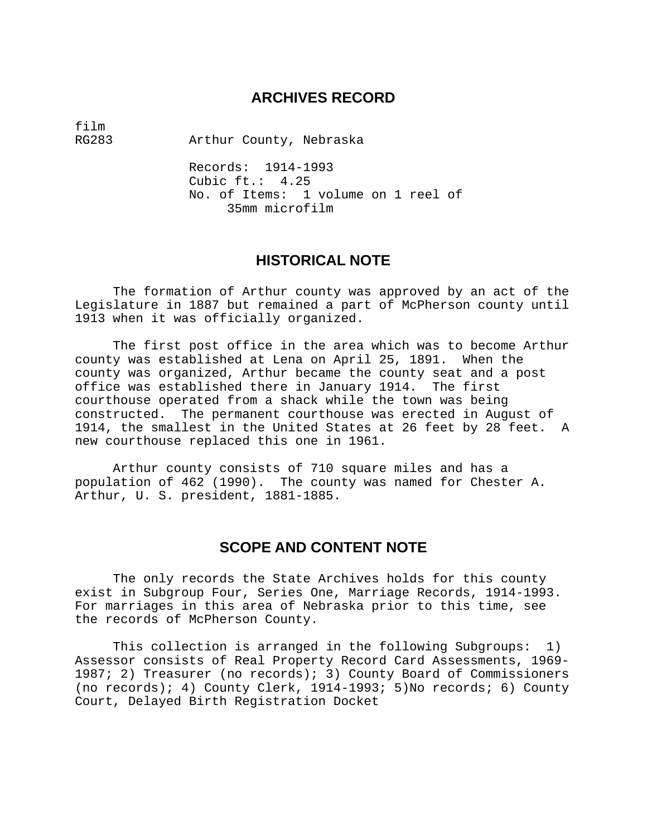# **ARCHIVES RECORD**

film<br>RG283

Arthur County, Nebraska

 Records: 1914-1993 Cubic ft.: 4.25 No. of Items: 1 volume on 1 reel of 35mm microfilm

# **HISTORICAL NOTE**

 The formation of Arthur county was approved by an act of the Legislature in 1887 but remained a part of McPherson county until 1913 when it was officially organized.

 The first post office in the area which was to become Arthur county was established at Lena on April 25, 1891. When the county was organized, Arthur became the county seat and a post office was established there in January 1914. The first courthouse operated from a shack while the town was being constructed. The permanent courthouse was erected in August of 1914, the smallest in the United States at 26 feet by 28 feet. A new courthouse replaced this one in 1961.

 Arthur county consists of 710 square miles and has a population of 462 (1990). The county was named for Chester A. Arthur, U. S. president, 1881-1885.

# **SCOPE AND CONTENT NOTE**

 The only records the State Archives holds for this county exist in Subgroup Four, Series One, Marriage Records, 1914-1993. For marriages in this area of Nebraska prior to this time, see the records of McPherson County.

 This collection is arranged in the following Subgroups: 1) Assessor consists of Real Property Record Card Assessments, 1969- 1987; 2) Treasurer (no records); 3) County Board of Commissioners (no records); 4) County Clerk, 1914-1993; 5)No records; 6) County Court, Delayed Birth Registration Docket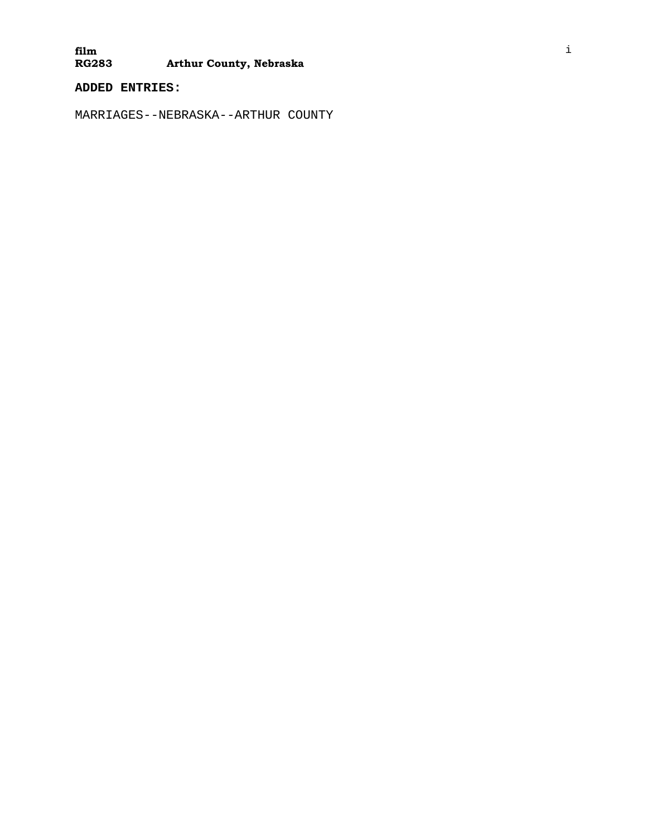#### **film Arthur County, Nebraska**

**ADDED ENTRIES:** 

MARRIAGES--NEBRASKA--ARTHUR COUNTY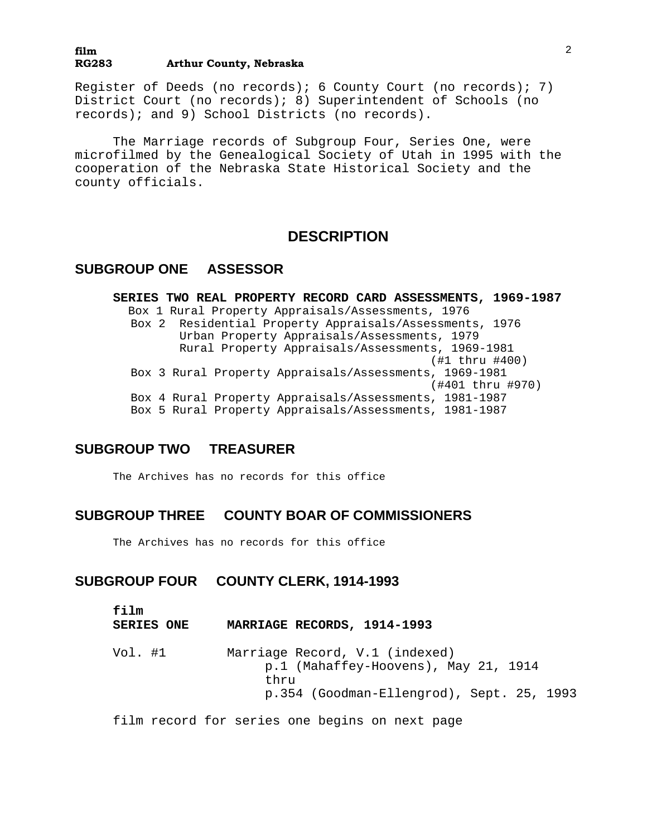#### **film RG283 Arthur County, Nebraska**

Register of Deeds (no records); 6 County Court (no records); 7) District Court (no records); 8) Superintendent of Schools (no records); and 9) School Districts (no records).

 The Marriage records of Subgroup Four, Series One, were microfilmed by the Genealogical Society of Utah in 1995 with the cooperation of the Nebraska State Historical Society and the county officials.

### **DESCRIPTION**

### **SUBGROUP ONE ASSESSOR**

**SERIES TWO REAL PROPERTY RECORD CARD ASSESSMENTS, 1969-1987** Box 1 Rural Property Appraisals/Assessments, 1976 Box 2 Residential Property Appraisals/Assessments, 1976 Urban Property Appraisals/Assessments, 1979 Rural Property Appraisals/Assessments, 1969-1981 (#1 thru #400) Box 3 Rural Property Appraisals/Assessments, 1969-1981 (#401 thru #970) Box 4 Rural Property Appraisals/Assessments, 1981-1987 Box 5 Rural Property Appraisals/Assessments, 1981-1987

### **SUBGROUP TWO TREASURER**

The Archives has no records for this office

### **SUBGROUP THREE COUNTY BOAR OF COMMISSIONERS**

The Archives has no records for this office

# **SUBGROUP FOUR COUNTY CLERK, 1914-1993**

| film<br><b>SERIES ONE</b> | MARRIAGE RECORDS, 1914-1993                                                                                                 |
|---------------------------|-----------------------------------------------------------------------------------------------------------------------------|
| Vol. #1                   | Marriage Record, V.1 (indexed)<br>p.1 (Mahaffey-Hoovens), May 21, 1914<br>thru<br>p.354 (Goodman-Ellengrod), Sept. 25, 1993 |

film record for series one begins on next page